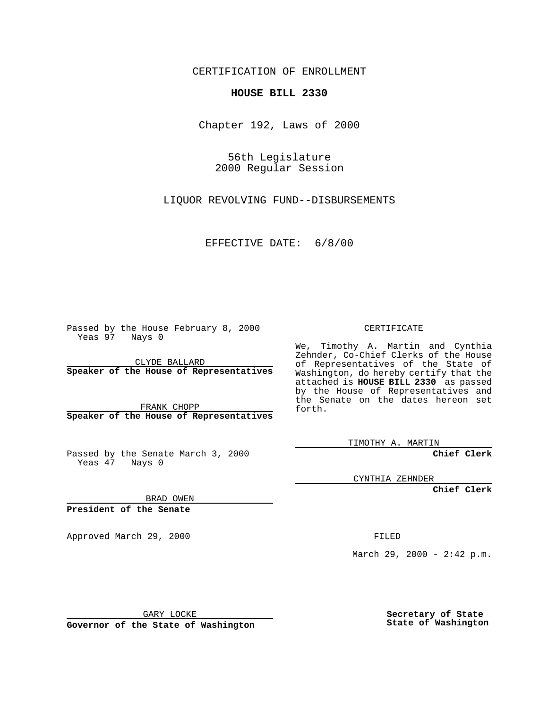CERTIFICATION OF ENROLLMENT

## **HOUSE BILL 2330**

Chapter 192, Laws of 2000

56th Legislature 2000 Regular Session

LIQUOR REVOLVING FUND--DISBURSEMENTS

EFFECTIVE DATE: 6/8/00

Passed by the House February 8, 2000 Yeas 97 Nays 0

CLYDE BALLARD **Speaker of the House of Representatives**

FRANK CHOPP **Speaker of the House of Representatives**

Passed by the Senate March 3, 2000 Yeas 47 Nays 0

CERTIFICATE

We, Timothy A. Martin and Cynthia Zehnder, Co-Chief Clerks of the House of Representatives of the State of Washington, do hereby certify that the attached is **HOUSE BILL 2330** as passed by the House of Representatives and the Senate on the dates hereon set forth.

TIMOTHY A. MARTIN

**Chief Clerk**

CYNTHIA ZEHNDER

**Chief Clerk**

BRAD OWEN

**President of the Senate**

Approved March 29, 2000 FILED

March 29, 2000 - 2:42 p.m.

GARY LOCKE

**Governor of the State of Washington**

**Secretary of State State of Washington**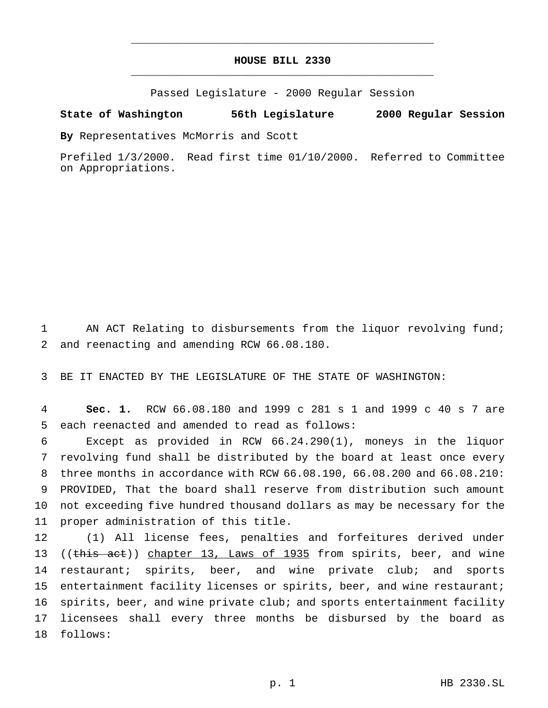## **HOUSE BILL 2330** \_\_\_\_\_\_\_\_\_\_\_\_\_\_\_\_\_\_\_\_\_\_\_\_\_\_\_\_\_\_\_\_\_\_\_\_\_\_\_\_\_\_\_\_\_\_\_

\_\_\_\_\_\_\_\_\_\_\_\_\_\_\_\_\_\_\_\_\_\_\_\_\_\_\_\_\_\_\_\_\_\_\_\_\_\_\_\_\_\_\_\_\_\_\_

Passed Legislature - 2000 Regular Session

## **State of Washington 56th Legislature 2000 Regular Session**

**By** Representatives McMorris and Scott

Prefiled 1/3/2000. Read first time 01/10/2000. Referred to Committee on Appropriations.

1 AN ACT Relating to disbursements from the liquor revolving fund; 2 and reenacting and amending RCW 66.08.180.

3 BE IT ENACTED BY THE LEGISLATURE OF THE STATE OF WASHINGTON:

4 **Sec. 1.** RCW 66.08.180 and 1999 c 281 s 1 and 1999 c 40 s 7 are 5 each reenacted and amended to read as follows:

 Except as provided in RCW 66.24.290(1), moneys in the liquor revolving fund shall be distributed by the board at least once every three months in accordance with RCW 66.08.190, 66.08.200 and 66.08.210: PROVIDED, That the board shall reserve from distribution such amount not exceeding five hundred thousand dollars as may be necessary for the proper administration of this title.

12 (1) All license fees, penalties and forfeitures derived under 13 ((this act)) chapter 13, Laws of 1935 from spirits, beer, and wine 14 restaurant; spirits, beer, and wine private club; and sports 15 entertainment facility licenses or spirits, beer, and wine restaurant; 16 spirits, beer, and wine private club; and sports entertainment facility 17 licensees shall every three months be disbursed by the board as 18 follows: